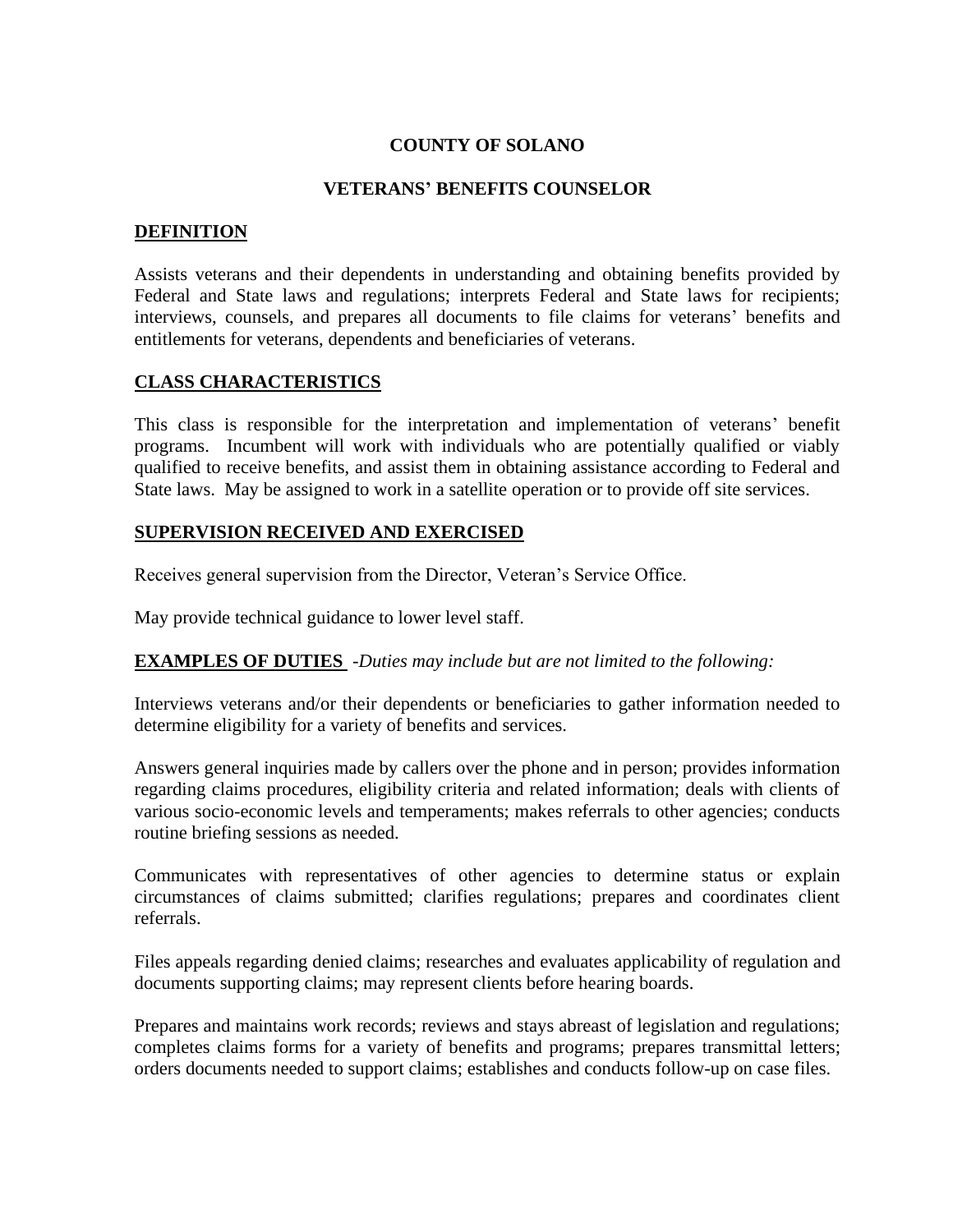## **COUNTY OF SOLANO**

### **VETERANS' BENEFITS COUNSELOR**

### **DEFINITION**

Assists veterans and their dependents in understanding and obtaining benefits provided by Federal and State laws and regulations; interprets Federal and State laws for recipients; interviews, counsels, and prepares all documents to file claims for veterans' benefits and entitlements for veterans, dependents and beneficiaries of veterans.

### **CLASS CHARACTERISTICS**

This class is responsible for the interpretation and implementation of veterans' benefit programs. Incumbent will work with individuals who are potentially qualified or viably qualified to receive benefits, and assist them in obtaining assistance according to Federal and State laws. May be assigned to work in a satellite operation or to provide off site services.

### **SUPERVISION RECEIVED AND EXERCISED**

Receives general supervision from the Director, Veteran's Service Office.

May provide technical guidance to lower level staff.

#### **EXAMPLES OF DUTIES** -*Duties may include but are not limited to the following:*

Interviews veterans and/or their dependents or beneficiaries to gather information needed to determine eligibility for a variety of benefits and services.

Answers general inquiries made by callers over the phone and in person; provides information regarding claims procedures, eligibility criteria and related information; deals with clients of various socio-economic levels and temperaments; makes referrals to other agencies; conducts routine briefing sessions as needed.

Communicates with representatives of other agencies to determine status or explain circumstances of claims submitted; clarifies regulations; prepares and coordinates client referrals.

Files appeals regarding denied claims; researches and evaluates applicability of regulation and documents supporting claims; may represent clients before hearing boards.

Prepares and maintains work records; reviews and stays abreast of legislation and regulations; completes claims forms for a variety of benefits and programs; prepares transmittal letters; orders documents needed to support claims; establishes and conducts follow-up on case files.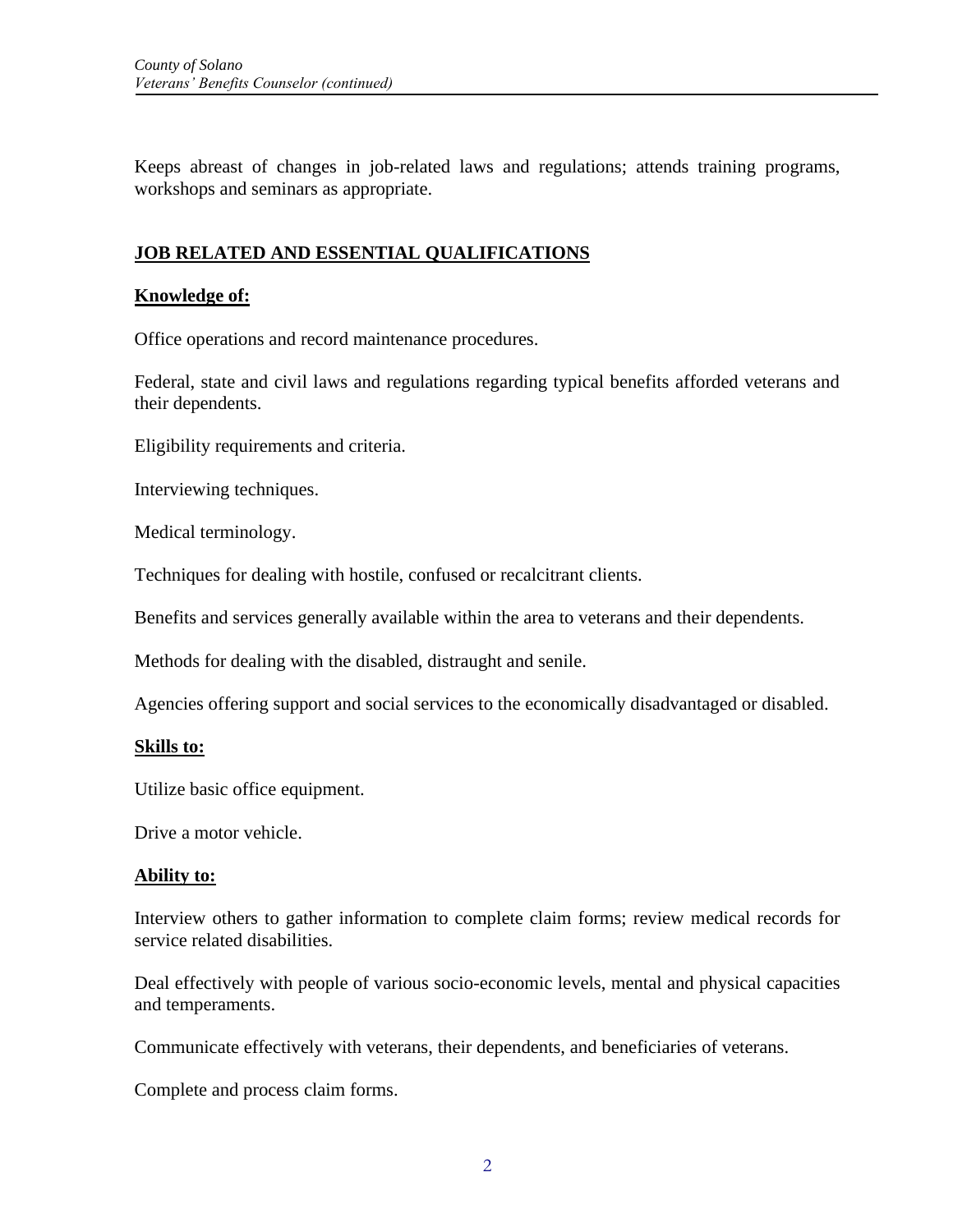Keeps abreast of changes in job-related laws and regulations; attends training programs, workshops and seminars as appropriate.

## **JOB RELATED AND ESSENTIAL QUALIFICATIONS**

## **Knowledge of:**

Office operations and record maintenance procedures.

Federal, state and civil laws and regulations regarding typical benefits afforded veterans and their dependents.

Eligibility requirements and criteria.

Interviewing techniques.

Medical terminology.

Techniques for dealing with hostile, confused or recalcitrant clients.

Benefits and services generally available within the area to veterans and their dependents.

Methods for dealing with the disabled, distraught and senile.

Agencies offering support and social services to the economically disadvantaged or disabled.

#### **Skills to:**

Utilize basic office equipment.

Drive a motor vehicle.

#### **Ability to:**

Interview others to gather information to complete claim forms; review medical records for service related disabilities.

Deal effectively with people of various socio-economic levels, mental and physical capacities and temperaments.

Communicate effectively with veterans, their dependents, and beneficiaries of veterans.

Complete and process claim forms.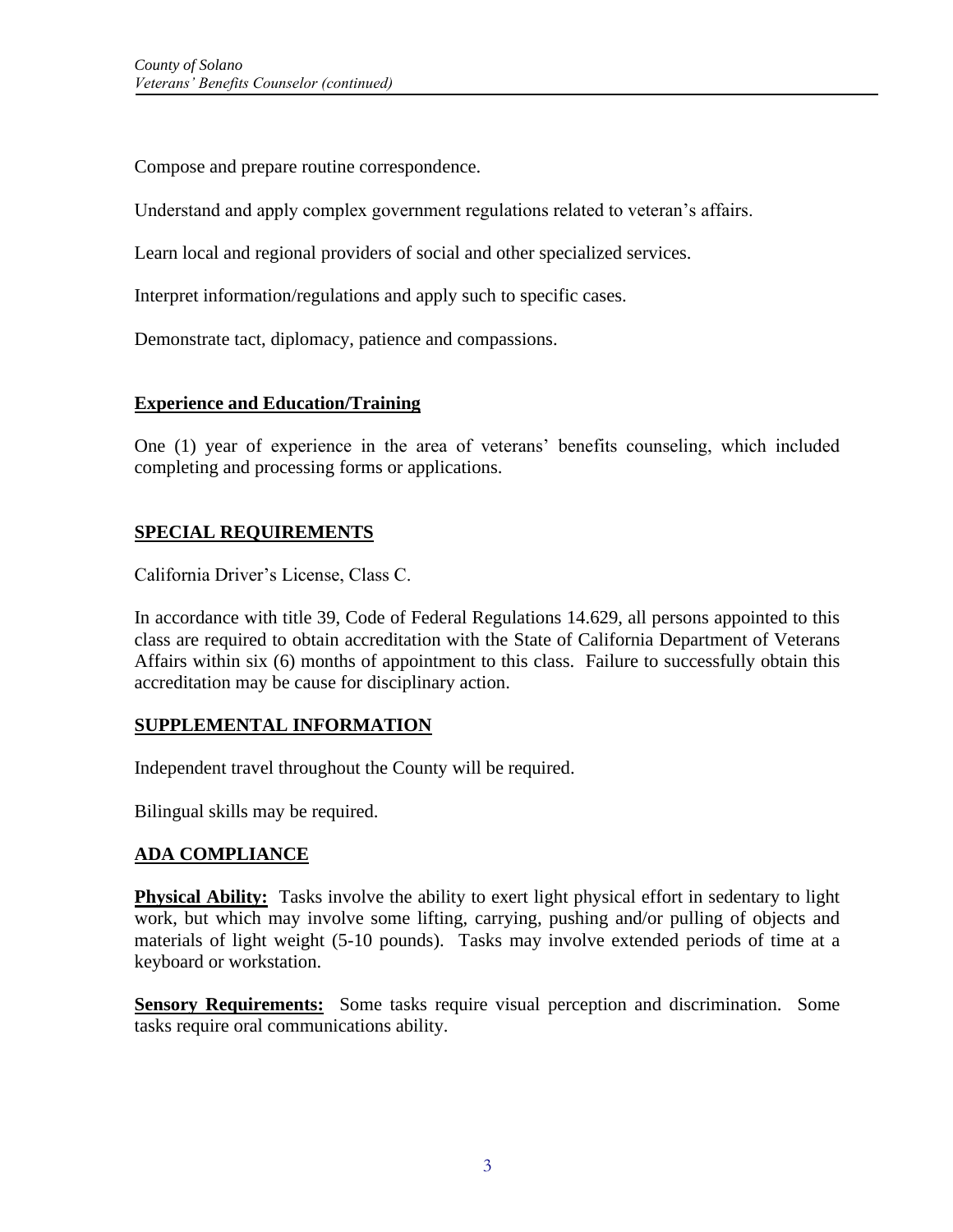Compose and prepare routine correspondence.

Understand and apply complex government regulations related to veteran's affairs.

Learn local and regional providers of social and other specialized services.

Interpret information/regulations and apply such to specific cases.

Demonstrate tact, diplomacy, patience and compassions.

## **Experience and Education/Training**

One (1) year of experience in the area of veterans' benefits counseling, which included completing and processing forms or applications.

# **SPECIAL REQUIREMENTS**

California Driver's License, Class C.

In accordance with title 39, Code of Federal Regulations 14.629, all persons appointed to this class are required to obtain accreditation with the State of California Department of Veterans Affairs within six (6) months of appointment to this class. Failure to successfully obtain this accreditation may be cause for disciplinary action.

# **SUPPLEMENTAL INFORMATION**

Independent travel throughout the County will be required.

Bilingual skills may be required.

# **ADA COMPLIANCE**

**Physical Ability:** Tasks involve the ability to exert light physical effort in sedentary to light work, but which may involve some lifting, carrying, pushing and/or pulling of objects and materials of light weight (5-10 pounds). Tasks may involve extended periods of time at a keyboard or workstation.

**Sensory Requirements:** Some tasks require visual perception and discrimination. Some tasks require oral communications ability.